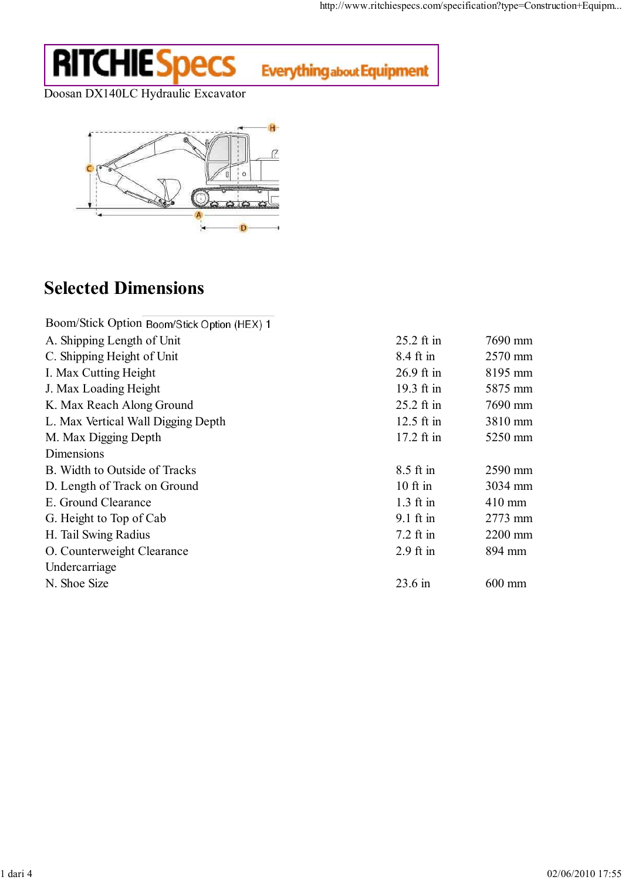## **RITCHIE Specs**

**Everything about Equipment** 

Doosan DX140LC Hydraulic Excavator



## Selected Dimensions

| Boom/Stick Option Boom/Stick Option (HEX) 1 |                   |                  |
|---------------------------------------------|-------------------|------------------|
| A. Shipping Length of Unit                  | $25.2$ ft in      | 7690 mm          |
| C. Shipping Height of Unit                  | 8.4 ft in         | 2570 mm          |
| I. Max Cutting Height                       | $26.9$ ft in      | 8195 mm          |
| J. Max Loading Height                       | 19.3 ft in        | 5875 mm          |
| K. Max Reach Along Ground                   | 25.2 ft in        | 7690 mm          |
| L. Max Vertical Wall Digging Depth          | $12.5$ ft in      | 3810 mm          |
| M. Max Digging Depth                        | 17.2 ft in        | 5250 mm          |
| Dimensions                                  |                   |                  |
| B. Width to Outside of Tracks               | 8.5 ft in         | 2590 mm          |
| D. Length of Track on Ground                | $10$ ft in        | 3034 mm          |
| E. Ground Clearance                         | $1.3$ ft in       | $410 \text{ mm}$ |
| G. Height to Top of Cab                     | $9.1$ ft in       | 2773 mm          |
| H. Tail Swing Radius                        | $7.2$ ft in       | 2200 mm          |
| O. Counterweight Clearance                  | $2.9$ ft in       | 894 mm           |
| Undercarriage                               |                   |                  |
| N. Shoe Size                                | $23.6 \text{ in}$ | $600$ mm         |
|                                             |                   |                  |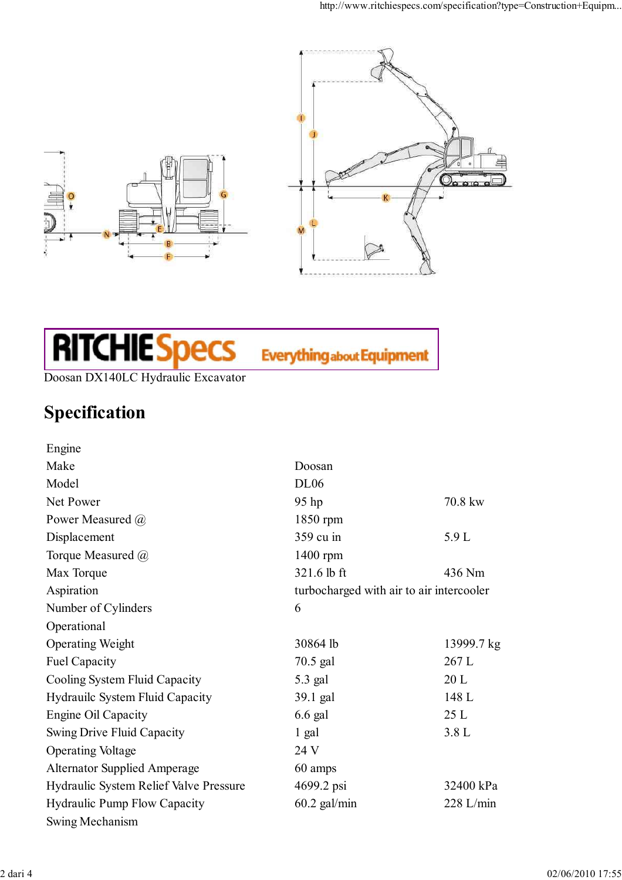

## **RITCHIE Specs**

**Everything about Equipment** 

Doosan DX140LC Hydraulic Excavator

## Specification

| Engine                                        |                |                                          |  |
|-----------------------------------------------|----------------|------------------------------------------|--|
| Make                                          | Doosan         |                                          |  |
| Model                                         | <b>DL06</b>    |                                          |  |
| Net Power                                     | 95 hp          | 70.8 kw                                  |  |
| Power Measured @                              | 1850 rpm       |                                          |  |
| Displacement                                  | 359 cu in      | 5.9 L                                    |  |
| Torque Measured @                             | 1400 rpm       |                                          |  |
| Max Torque                                    | 321.6 lb ft    | 436 Nm                                   |  |
| Aspiration                                    |                | turbocharged with air to air intercooler |  |
| Number of Cylinders                           | 6              |                                          |  |
| Operational                                   |                |                                          |  |
| <b>Operating Weight</b>                       | 30864 lb       | 13999.7 kg                               |  |
| <b>Fuel Capacity</b>                          | 70.5 gal       | 267 L                                    |  |
| Cooling System Fluid Capacity                 | 5.3 gal        | 20L                                      |  |
| Hydrauilc System Fluid Capacity               | 39.1 gal       | 148 L                                    |  |
| Engine Oil Capacity                           | $6.6$ gal      | 25L                                      |  |
| Swing Drive Fluid Capacity                    | 1 gal          | 3.8L                                     |  |
| <b>Operating Voltage</b>                      | 24 V           |                                          |  |
| <b>Alternator Supplied Amperage</b>           | 60 amps        |                                          |  |
| <b>Hydraulic System Relief Valve Pressure</b> | 4699.2 psi     | 32400 kPa                                |  |
| <b>Hydraulic Pump Flow Capacity</b>           | $60.2$ gal/min | $228$ L/min                              |  |
| Swing Mechanism                               |                |                                          |  |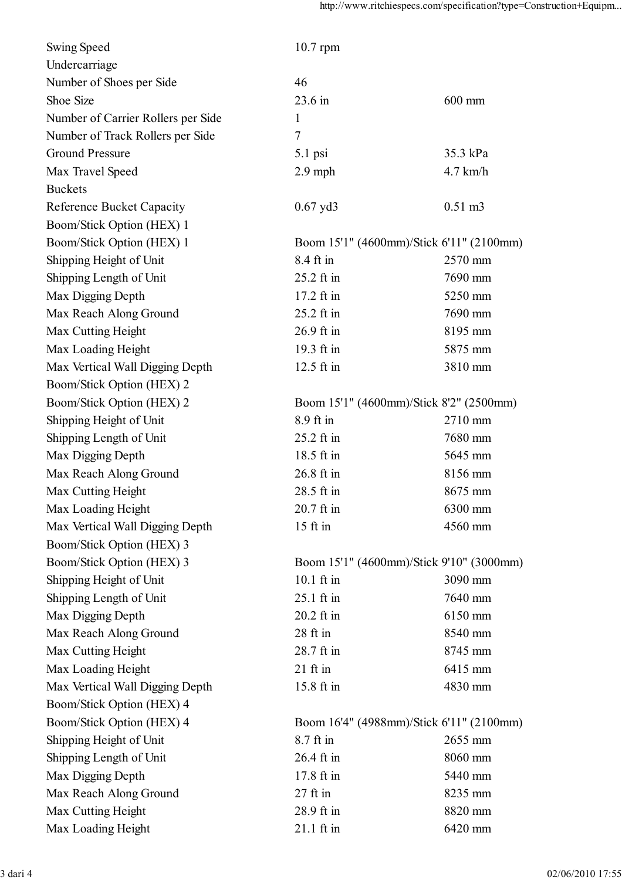| <b>Swing Speed</b>                 | $10.7$ rpm    |                                          |  |
|------------------------------------|---------------|------------------------------------------|--|
| Undercarriage                      |               |                                          |  |
| Number of Shoes per Side           | 46            |                                          |  |
| Shoe Size                          | 23.6 in       | 600 mm                                   |  |
| Number of Carrier Rollers per Side | 1             |                                          |  |
| Number of Track Rollers per Side   | 7             |                                          |  |
| <b>Ground Pressure</b>             | 5.1 psi       | 35.3 kPa                                 |  |
| Max Travel Speed                   | $2.9$ mph     | $4.7$ km/h                               |  |
| <b>Buckets</b>                     |               |                                          |  |
| <b>Reference Bucket Capacity</b>   | $0.67$ yd $3$ | $0.51 \text{ m}$ 3                       |  |
| Boom/Stick Option (HEX) 1          |               |                                          |  |
| Boom/Stick Option (HEX) 1          |               | Boom 15'1" (4600mm)/Stick 6'11" (2100mm) |  |
| Shipping Height of Unit            | 8.4 ft in     | 2570 mm                                  |  |
| Shipping Length of Unit            | 25.2 ft in    | 7690 mm                                  |  |
| Max Digging Depth                  | 17.2 ft in    | 5250 mm                                  |  |
| Max Reach Along Ground             | 25.2 ft in    | 7690 mm                                  |  |
| Max Cutting Height                 | 26.9 ft in    | 8195 mm                                  |  |
| Max Loading Height                 | 19.3 ft in    | 5875 mm                                  |  |
| Max Vertical Wall Digging Depth    | 12.5 ft in    | 3810 mm                                  |  |
| Boom/Stick Option (HEX) 2          |               |                                          |  |
| Boom/Stick Option (HEX) 2          |               | Boom 15'1" (4600mm)/Stick 8'2" (2500mm)  |  |
| Shipping Height of Unit            | 8.9 ft in     | 2710 mm                                  |  |
| Shipping Length of Unit            | 25.2 ft in    | 7680 mm                                  |  |
| Max Digging Depth                  | 18.5 ft in    | 5645 mm                                  |  |
| Max Reach Along Ground             | 26.8 ft in    | 8156 mm                                  |  |
| Max Cutting Height                 | 28.5 ft in    | 8675 mm                                  |  |
| Max Loading Height                 | 20.7 ft in    | 6300 mm                                  |  |
| Max Vertical Wall Digging Depth    | $15$ ft in    | 4560 mm                                  |  |
| Boom/Stick Option (HEX) 3          |               |                                          |  |
| Boom/Stick Option (HEX) 3          |               | Boom 15'1" (4600mm)/Stick 9'10" (3000mm) |  |
| Shipping Height of Unit            | 10.1 ft in    | 3090 mm                                  |  |
| Shipping Length of Unit            | 25.1 ft in    | 7640 mm                                  |  |
| Max Digging Depth                  | 20.2 ft in    | 6150 mm                                  |  |
| Max Reach Along Ground             | 28 ft in      | 8540 mm                                  |  |
| Max Cutting Height                 | 28.7 ft in    | 8745 mm                                  |  |
| Max Loading Height                 | $21$ ft in    | 6415 mm                                  |  |
| Max Vertical Wall Digging Depth    | 15.8 ft in    | 4830 mm                                  |  |
| Boom/Stick Option (HEX) 4          |               |                                          |  |
| Boom/Stick Option (HEX) 4          |               | Boom 16'4" (4988mm)/Stick 6'11" (2100mm) |  |
| Shipping Height of Unit            | 8.7 ft in     | 2655 mm                                  |  |
| Shipping Length of Unit            | 26.4 ft in    | 8060 mm                                  |  |
| Max Digging Depth                  | 17.8 ft in    | 5440 mm                                  |  |
| Max Reach Along Ground             | $27$ ft in    | 8235 mm                                  |  |
| Max Cutting Height                 | 28.9 ft in    | 8820 mm                                  |  |
| Max Loading Height                 | 21.1 ft in    | 6420 mm                                  |  |